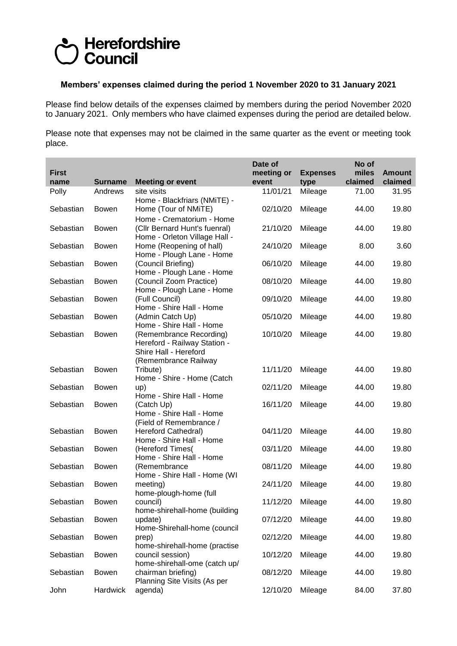## Herefordshire **Council**

## **Members' expenses claimed during the period 1 November 2020 to 31 January 2021**

Please find below details of the expenses claimed by members during the period November 2020 to January 2021. Only members who have claimed expenses during the period are detailed below.

Please note that expenses may not be claimed in the same quarter as the event or meeting took place.

| <b>First</b> |                |                                                                                                          | Date of<br>meeting or | <b>Expenses</b> | No of<br>miles | <b>Amount</b> |
|--------------|----------------|----------------------------------------------------------------------------------------------------------|-----------------------|-----------------|----------------|---------------|
| name         | <b>Surname</b> | <b>Meeting or event</b>                                                                                  | event                 | type            | claimed        | claimed       |
| Polly        | Andrews        | site visits<br>Home - Blackfriars (NMiTE) -                                                              | 11/01/21              | Mileage         | 71.00          | 31.95         |
| Sebastian    | <b>Bowen</b>   | Home (Tour of NMiTE)<br>Home - Crematorium - Home                                                        | 02/10/20              | Mileage         | 44.00          | 19.80         |
| Sebastian    | <b>Bowen</b>   | (Cllr Bernard Hunt's fuenral)<br>Home - Orleton Village Hall -                                           | 21/10/20              | Mileage         | 44.00          | 19.80         |
| Sebastian    | <b>Bowen</b>   | Home (Reopening of hall)<br>Home - Plough Lane - Home                                                    | 24/10/20              | Mileage         | 8.00           | 3.60          |
| Sebastian    | <b>Bowen</b>   | (Council Briefing)<br>Home - Plough Lane - Home                                                          | 06/10/20              | Mileage         | 44.00          | 19.80         |
| Sebastian    | <b>Bowen</b>   | (Council Zoom Practice)<br>Home - Plough Lane - Home                                                     | 08/10/20              | Mileage         | 44.00          | 19.80         |
| Sebastian    | <b>Bowen</b>   | (Full Council)<br>Home - Shire Hall - Home                                                               | 09/10/20              | Mileage         | 44.00          | 19.80         |
| Sebastian    | <b>Bowen</b>   | (Admin Catch Up)<br>Home - Shire Hall - Home                                                             | 05/10/20              | Mileage         | 44.00          | 19.80         |
| Sebastian    | <b>Bowen</b>   | (Remembrance Recording)<br>Hereford - Railway Station -<br>Shire Hall - Hereford<br>(Remembrance Railway | 10/10/20              | Mileage         | 44.00          | 19.80         |
| Sebastian    | <b>Bowen</b>   | Tribute)<br>Home - Shire - Home (Catch                                                                   | 11/11/20              | Mileage         | 44.00          | 19.80         |
| Sebastian    | <b>Bowen</b>   | up)<br>Home - Shire Hall - Home                                                                          | 02/11/20              | Mileage         | 44.00          | 19.80         |
| Sebastian    | <b>Bowen</b>   | (Catch Up)<br>Home - Shire Hall - Home<br>(Field of Remembrance /                                        | 16/11/20              | Mileage         | 44.00          | 19.80         |
| Sebastian    | <b>Bowen</b>   | Hereford Cathedral)<br>Home - Shire Hall - Home                                                          | 04/11/20              | Mileage         | 44.00          | 19.80         |
| Sebastian    | <b>Bowen</b>   | (Hereford Times(<br>Home - Shire Hall - Home                                                             | 03/11/20              | Mileage         | 44.00          | 19.80         |
| Sebastian    | <b>Bowen</b>   | (Remembrance<br>Home - Shire Hall - Home (WI                                                             | 08/11/20              | Mileage         | 44.00          | 19.80         |
| Sebastian    | <b>Bowen</b>   | meeting)<br>home-plough-home (full                                                                       | 24/11/20              | Mileage         | 44.00          | 19.80         |
| Sebastian    | Bowen          | council)<br>home-shirehall-home (building                                                                | 11/12/20 Mileage      |                 | 44.00          | 19.80         |
| Sebastian    | <b>Bowen</b>   | update)<br>Home-Shirehall-home (council                                                                  | 07/12/20              | Mileage         | 44.00          | 19.80         |
| Sebastian    | <b>Bowen</b>   | prep)<br>home-shirehall-home (practise                                                                   | 02/12/20              | Mileage         | 44.00          | 19.80         |
| Sebastian    | <b>Bowen</b>   | council session)<br>home-shirehall-ome (catch up/                                                        | 10/12/20              | Mileage         | 44.00          | 19.80         |
| Sebastian    | <b>Bowen</b>   | chairman briefing)<br>Planning Site Visits (As per                                                       | 08/12/20              | Mileage         | 44.00          | 19.80         |
| John         | Hardwick       | agenda)                                                                                                  | 12/10/20              | Mileage         | 84.00          | 37.80         |